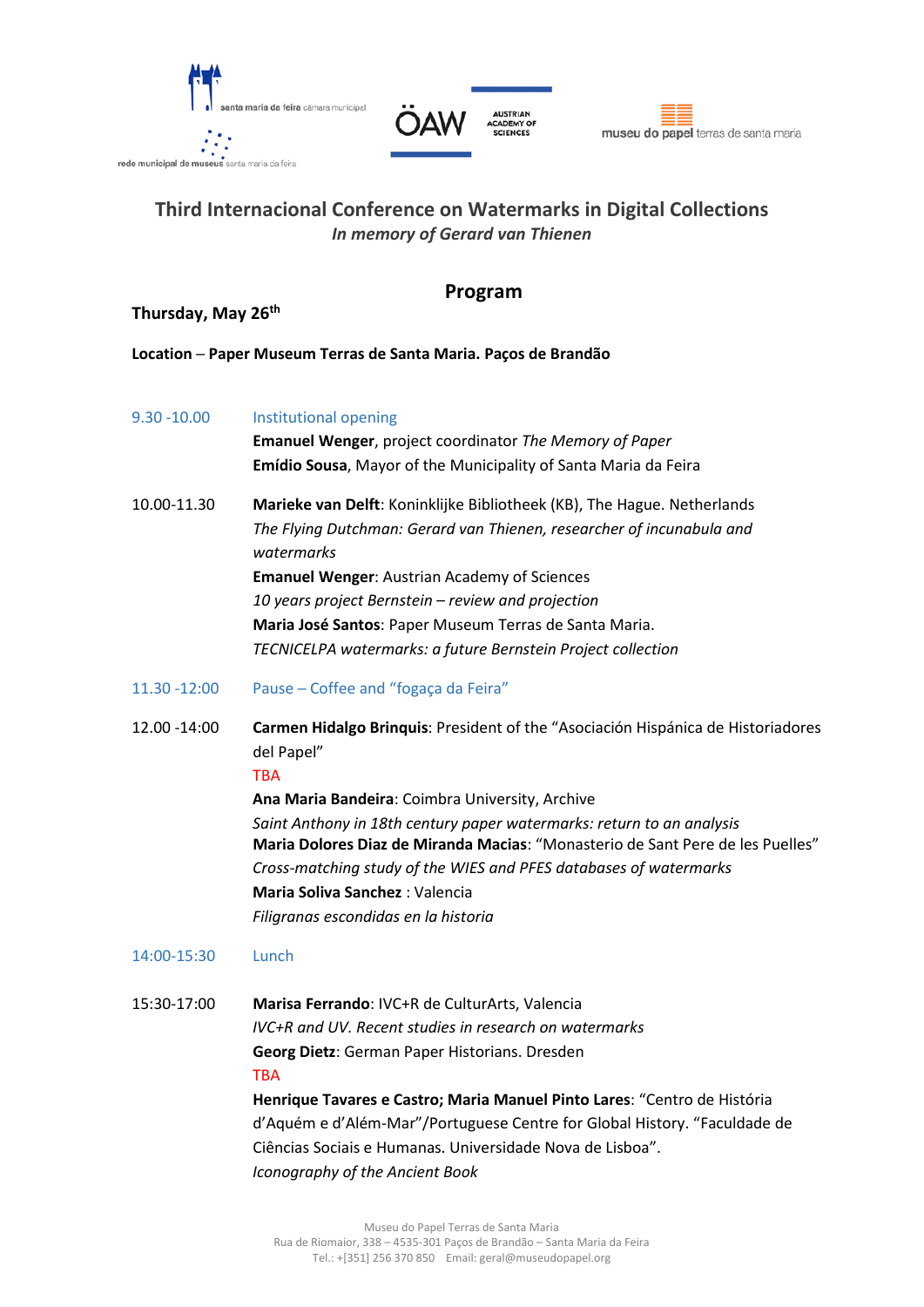





# **Third Internacional Conference on Watermarks in Digital Collections** *In memory of Gerard van Thienen*

## **Program**

**Thursday, May 26th** 

- **Location ─ [Paper Museum Terras de Santa Maria.](http://www.museudopapel.org/) Paços de Brandão**
- 9.30 -10.00 Institutional opening

**Emanuel Wenger**, project coordinator *The Memory of Paper* **Emídio Sousa**, Mayor of the Municipality of Santa Maria da Feira

- 10.00-11.30 **Marieke van Delft**: Koninklijke Bibliotheek (KB), The Hague. Netherlands *The Flying Dutchman: Gerard van Thienen, researcher of incunabula and watermarks* **Emanuel Wenger**: Austrian Academy of Sciences *10 years project Bernstein – review and projection* **Maria José Santos**: Paper Museum Terras de Santa Maria. *TECNICELPA watermarks: a future Bernstein Project collection*
- 11.30 -12:00 Pause ─ Coffee and "fogaça da Feira"
- 12.00 -14:00 **Carmen Hidalgo Brinquis**: President of the "Asociación Hispánica de Historiadores del Papel"

#### TBA

**Ana Maria Bandeira**: Coimbra University, Archive *Saint Anthony in 18th century paper watermarks: return to an analysis* **Maria Dolores Diaz de Miranda Macias**: "Monasterio de Sant Pere de les Puelles" *Cross-matching study of the WIES and PFES databases of watermarks* **Maria Soliva Sanchez** : Valencia *Filigranas escondidas en la historia*

### 14:00-15:30 Lunch

15:30-17:00 **Marisa Ferrando**: IVC+R de CulturArts, Valencia *IVC+R and UV. Recent studies in research on watermarks* **Georg Dietz**: German Paper Historians. Dresden TBA

> **Henrique Tavares e Castro; Maria Manuel Pinto Lares**: "Centro de História d'Aquém e d'Além-Mar"/Portuguese Centre for Global History. "Faculdade de Ciências Sociais e Humanas. Universidade Nova de Lisboa". *Iconography of the Ancient Book*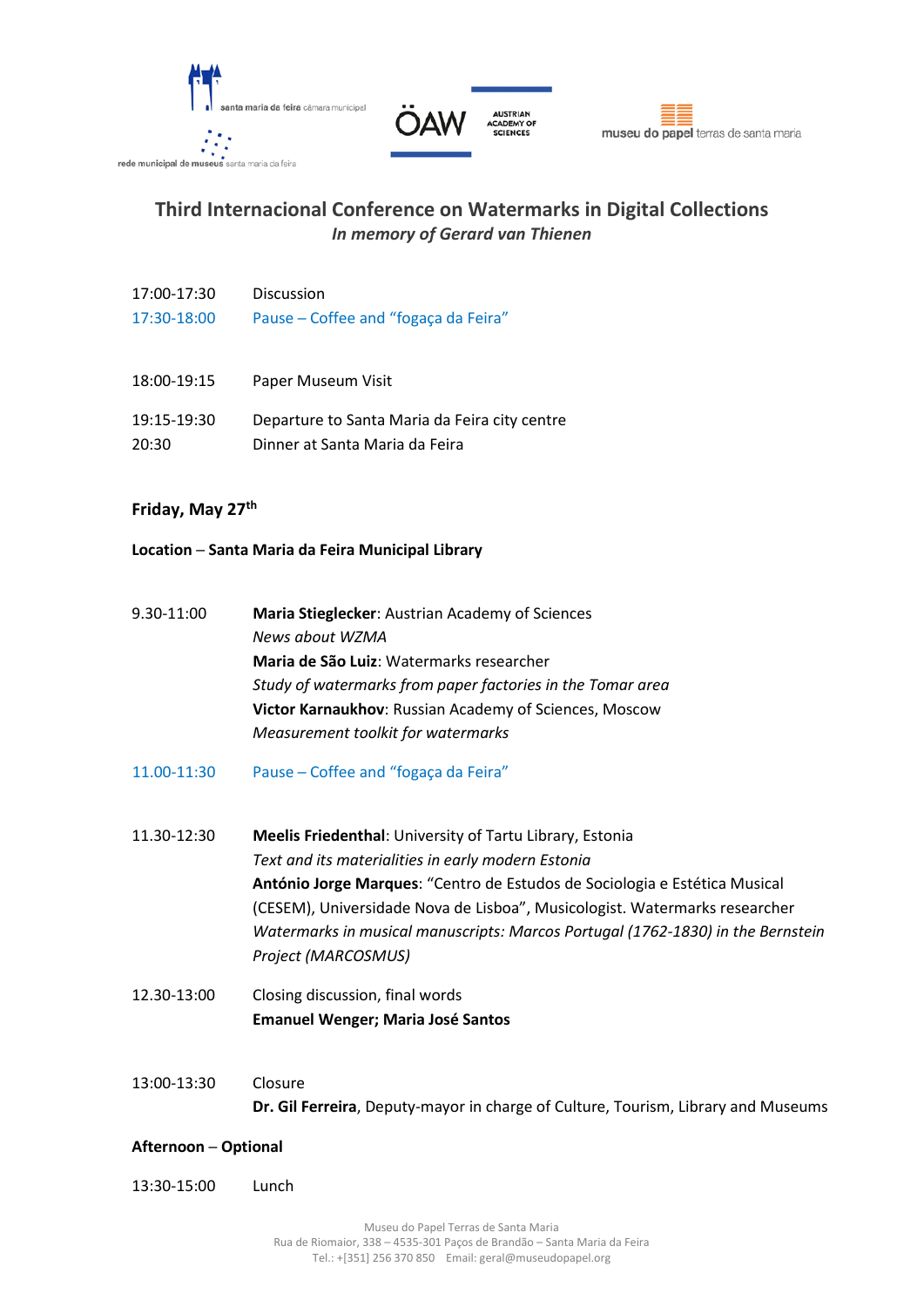





# **Third Internacional Conference on Watermarks in Digital Collections** *In memory of Gerard van Thienen*

- 17:00-17:30 Discussion 17:30-18:00 Pause ─ Coffee and "fogaça da Feira"
- 18:00-19:15 Paper Museum Visit
- 19:15-19:30 Departure to Santa Maria da Feira city centre
- 20:30 Dinner at Santa Maria da Feira

### **Friday, May 27th**

#### **Location ─ Santa Maria da Feira Municipal Library**

- 9.30-11:00 **Maria Stieglecker**: Austrian Academy of Sciences *News about WZMA* **Maria de São Luiz**: Watermarks researcher *Study of watermarks from paper factories in the Tomar area* **Victor Karnaukhov**: Russian Academy of Sciences, Moscow *Measurement toolkit for watermarks*
- 11.00-11:30 Pause ─ Coffee and "fogaça da Feira"
- 11.30-12:30 **Meelis Friedenthal**: University of Tartu Library, Estonia *Text and its materialities in early modern Estonia* **António Jorge Marques**: "Centro de Estudos de Sociologia e Estética Musical (CESEM), Universidade Nova de Lisboa", Musicologist. Watermarks researcher *Watermarks in musical manuscripts: Marcos Portugal (1762-1830) in the Bernstein Project (MARCOSMUS)*
- 12.30-13:00 Closing discussion, final words **Emanuel Wenger; Maria José Santos**
- 13:00-13:30 Closure **Dr. Gil Ferreira**, Deputy-mayor in charge of Culture, Tourism, Library and Museums

#### **Afternoon ─ Optional**

13:30-15:00 Lunch